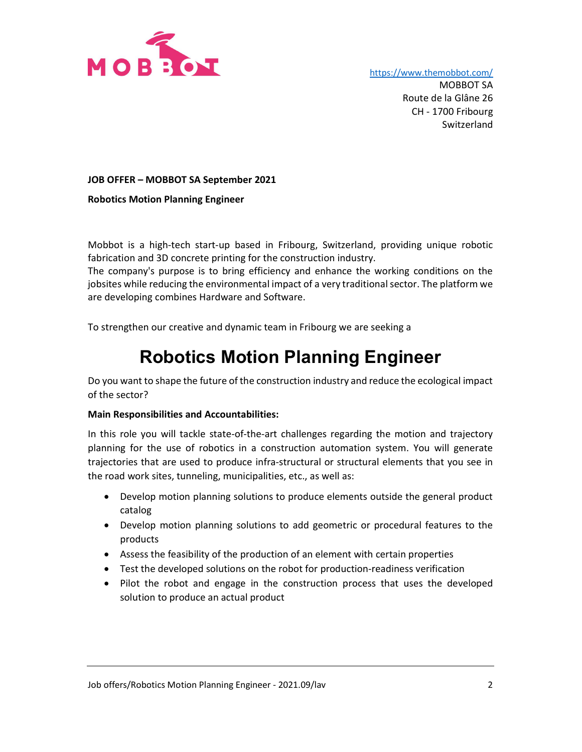

https://www.themobbot.com/

 MOBBOT SA Route de la Glâne 26 CH - 1700 Fribourg Switzerland

JOB OFFER – MOBBOT SA September 2021

Robotics Motion Planning Engineer

Mobbot is a high-tech start-up based in Fribourg, Switzerland, providing unique robotic fabrication and 3D concrete printing for the construction industry.

The company's purpose is to bring efficiency and enhance the working conditions on the jobsites while reducing the environmental impact of a very traditional sector. The platform we are developing combines Hardware and Software.

To strengthen our creative and dynamic team in Fribourg we are seeking a

# Robotics Motion Planning Engineer

Do you want to shape the future of the construction industry and reduce the ecological impact of the sector?

### Main Responsibilities and Accountabilities:

In this role you will tackle state-of-the-art challenges regarding the motion and trajectory planning for the use of robotics in a construction automation system. You will generate trajectories that are used to produce infra-structural or structural elements that you see in the road work sites, tunneling, municipalities, etc., as well as:

- Develop motion planning solutions to produce elements outside the general product catalog
- Develop motion planning solutions to add geometric or procedural features to the products
- Assess the feasibility of the production of an element with certain properties
- Test the developed solutions on the robot for production-readiness verification
- Pilot the robot and engage in the construction process that uses the developed solution to produce an actual product